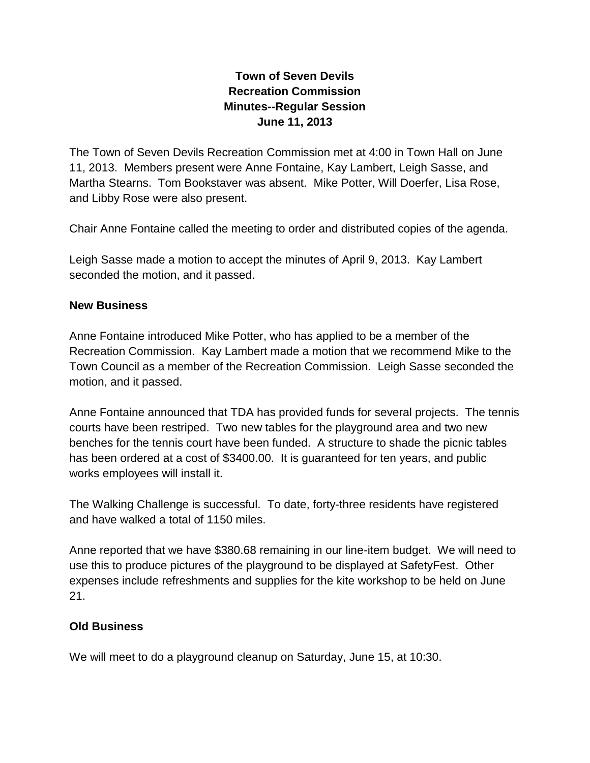## **Town of Seven Devils Recreation Commission Minutes--Regular Session June 11, 2013**

The Town of Seven Devils Recreation Commission met at 4:00 in Town Hall on June 11, 2013. Members present were Anne Fontaine, Kay Lambert, Leigh Sasse, and Martha Stearns. Tom Bookstaver was absent. Mike Potter, Will Doerfer, Lisa Rose, and Libby Rose were also present.

Chair Anne Fontaine called the meeting to order and distributed copies of the agenda.

Leigh Sasse made a motion to accept the minutes of April 9, 2013. Kay Lambert seconded the motion, and it passed.

## **New Business**

Anne Fontaine introduced Mike Potter, who has applied to be a member of the Recreation Commission. Kay Lambert made a motion that we recommend Mike to the Town Council as a member of the Recreation Commission. Leigh Sasse seconded the motion, and it passed.

Anne Fontaine announced that TDA has provided funds for several projects. The tennis courts have been restriped. Two new tables for the playground area and two new benches for the tennis court have been funded. A structure to shade the picnic tables has been ordered at a cost of \$3400.00. It is guaranteed for ten years, and public works employees will install it.

The Walking Challenge is successful. To date, forty-three residents have registered and have walked a total of 1150 miles.

Anne reported that we have \$380.68 remaining in our line-item budget. We will need to use this to produce pictures of the playground to be displayed at SafetyFest. Other expenses include refreshments and supplies for the kite workshop to be held on June 21.

## **Old Business**

We will meet to do a playground cleanup on Saturday, June 15, at 10:30.